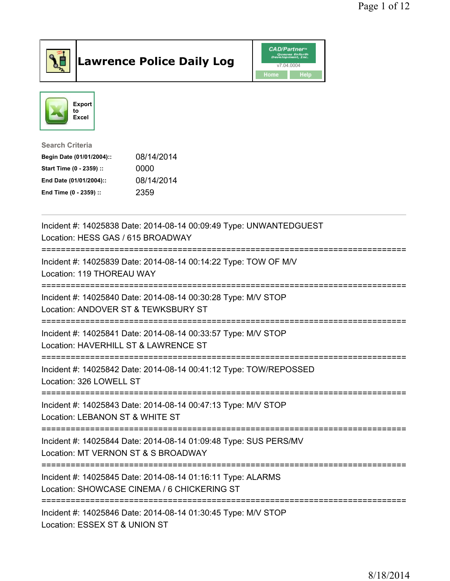

## Lawrence Police Daily Log Value of the CAD/Partner





Search Criteria

| Begin Date (01/01/2004):: | 08/14/2014 |
|---------------------------|------------|
| Start Time (0 - 2359) ::  | 0000       |
| End Date (01/01/2004)::   | 08/14/2014 |
| End Time (0 - 2359) ::    | 2359       |

| Incident #: 14025838 Date: 2014-08-14 00:09:49 Type: UNWANTEDGUEST<br>Location: HESS GAS / 615 BROADWAY<br>----------------                             |
|---------------------------------------------------------------------------------------------------------------------------------------------------------|
| Incident #: 14025839 Date: 2014-08-14 00:14:22 Type: TOW OF M/V<br>Location: 119 THOREAU WAY                                                            |
| Incident #: 14025840 Date: 2014-08-14 00:30:28 Type: M/V STOP<br>Location: ANDOVER ST & TEWKSBURY ST                                                    |
| Incident #: 14025841 Date: 2014-08-14 00:33:57 Type: M/V STOP<br>Location: HAVERHILL ST & LAWRENCE ST<br>--------------------                           |
| Incident #: 14025842 Date: 2014-08-14 00:41:12 Type: TOW/REPOSSED<br>Location: 326 LOWELL ST                                                            |
| Incident #: 14025843 Date: 2014-08-14 00:47:13 Type: M/V STOP<br>Location: LEBANON ST & WHITE ST<br>------------                                        |
| Incident #: 14025844 Date: 2014-08-14 01:09:48 Type: SUS PERS/MV<br>Location: MT VERNON ST & S BROADWAY<br>-----------------------<br>----------------- |
| Incident #: 14025845 Date: 2014-08-14 01:16:11 Type: ALARMS<br>Location: SHOWCASE CINEMA / 6 CHICKERING ST                                              |
| Incident #: 14025846 Date: 2014-08-14 01:30:45 Type: M/V STOP<br>Location: ESSEX ST & UNION ST                                                          |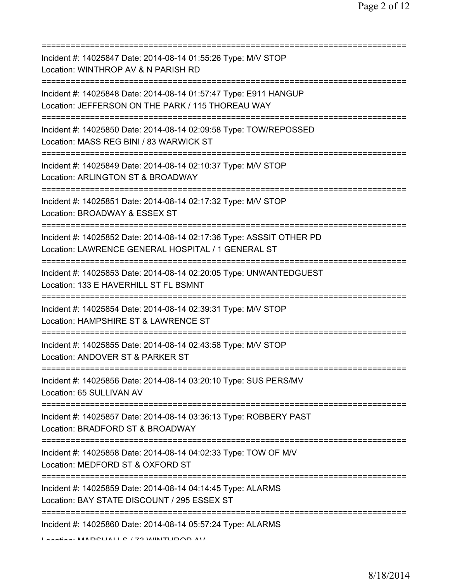| Incident #: 14025847 Date: 2014-08-14 01:55:26 Type: M/V STOP<br>Location: WINTHROP AV & N PARISH RD                                              |
|---------------------------------------------------------------------------------------------------------------------------------------------------|
| Incident #: 14025848 Date: 2014-08-14 01:57:47 Type: E911 HANGUP<br>Location: JEFFERSON ON THE PARK / 115 THOREAU WAY<br>==============           |
| Incident #: 14025850 Date: 2014-08-14 02:09:58 Type: TOW/REPOSSED<br>Location: MASS REG BINI / 83 WARWICK ST                                      |
| Incident #: 14025849 Date: 2014-08-14 02:10:37 Type: M/V STOP<br>Location: ARLINGTON ST & BROADWAY<br>=============================               |
| Incident #: 14025851 Date: 2014-08-14 02:17:32 Type: M/V STOP<br>Location: BROADWAY & ESSEX ST                                                    |
| Incident #: 14025852 Date: 2014-08-14 02:17:36 Type: ASSSIT OTHER PD<br>Location: LAWRENCE GENERAL HOSPITAL / 1 GENERAL ST                        |
| Incident #: 14025853 Date: 2014-08-14 02:20:05 Type: UNWANTEDGUEST<br>Location: 133 E HAVERHILL ST FL BSMNT<br>-----------------------            |
| Incident #: 14025854 Date: 2014-08-14 02:39:31 Type: M/V STOP<br>Location: HAMPSHIRE ST & LAWRENCE ST                                             |
| Incident #: 14025855 Date: 2014-08-14 02:43:58 Type: M/V STOP<br>Location: ANDOVER ST & PARKER ST                                                 |
| Incident #: 14025856 Date: 2014-08-14 03:20:10 Type: SUS PERS/MV<br>Location: 65 SULLIVAN AV                                                      |
| Incident #: 14025857 Date: 2014-08-14 03:36:13 Type: ROBBERY PAST<br>Location: BRADFORD ST & BROADWAY                                             |
| Incident #: 14025858 Date: 2014-08-14 04:02:33 Type: TOW OF M/V<br>Location: MEDFORD ST & OXFORD ST                                               |
| Incident #: 14025859 Date: 2014-08-14 04:14:45 Type: ALARMS<br>Location: BAY STATE DISCOUNT / 295 ESSEX ST                                        |
| =====================================<br>Incident #: 14025860 Date: 2014-08-14 05:57:24 Type: ALARMS<br>I continue MADOLIAIIO / 79 MINITLIDOD AV/ |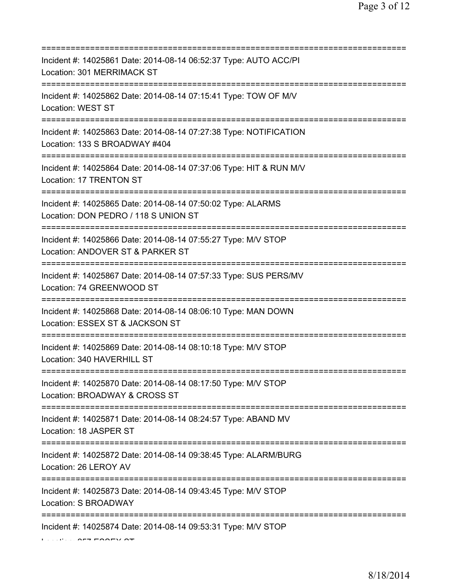| Incident #: 14025861 Date: 2014-08-14 06:52:37 Type: AUTO ACC/PI<br>Location: 301 MERRIMACK ST<br>======================                     |
|----------------------------------------------------------------------------------------------------------------------------------------------|
| Incident #: 14025862 Date: 2014-08-14 07:15:41 Type: TOW OF M/V<br>Location: WEST ST                                                         |
| Incident #: 14025863 Date: 2014-08-14 07:27:38 Type: NOTIFICATION<br>Location: 133 S BROADWAY #404<br>=====================                  |
| Incident #: 14025864 Date: 2014-08-14 07:37:06 Type: HIT & RUN M/V<br>Location: 17 TRENTON ST<br>====================================        |
| Incident #: 14025865 Date: 2014-08-14 07:50:02 Type: ALARMS<br>Location: DON PEDRO / 118 S UNION ST<br>===================================== |
| Incident #: 14025866 Date: 2014-08-14 07:55:27 Type: M/V STOP<br>Location: ANDOVER ST & PARKER ST                                            |
| Incident #: 14025867 Date: 2014-08-14 07:57:33 Type: SUS PERS/MV<br>Location: 74 GREENWOOD ST                                                |
| Incident #: 14025868 Date: 2014-08-14 08:06:10 Type: MAN DOWN<br>Location: ESSEX ST & JACKSON ST                                             |
| Incident #: 14025869 Date: 2014-08-14 08:10:18 Type: M/V STOP<br>Location: 340 HAVERHILL ST                                                  |
| Incident #: 14025870 Date: 2014-08-14 08:17:50 Type: M/V STOP<br>Location: BROADWAY & CROSS ST                                               |
| Incident #: 14025871 Date: 2014-08-14 08:24:57 Type: ABAND MV<br>Location: 18 JASPER ST                                                      |
| Incident #: 14025872 Date: 2014-08-14 09:38:45 Type: ALARM/BURG<br>Location: 26 LEROY AV                                                     |
| Incident #: 14025873 Date: 2014-08-14 09:43:45 Type: M/V STOP<br>Location: S BROADWAY                                                        |
| Incident #: 14025874 Date: 2014-08-14 09:53:31 Type: M/V STOP                                                                                |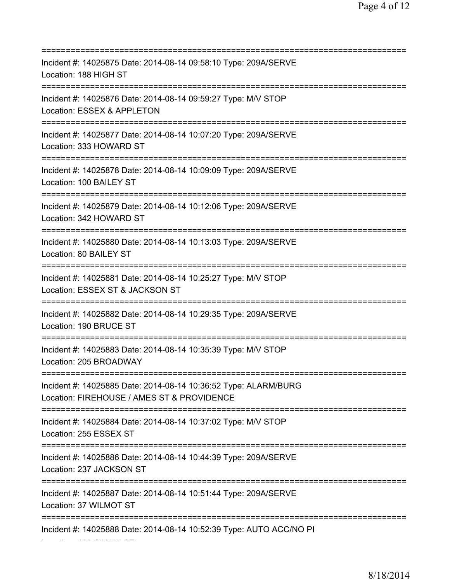=========================================================================== Incident #: 14025875 Date: 2014-08-14 09:58:10 Type: 209A/SERVE Location: 188 HIGH ST =========================================================================== Incident #: 14025876 Date: 2014-08-14 09:59:27 Type: M/V STOP Location: ESSEX & APPLETON =========================================================================== Incident #: 14025877 Date: 2014-08-14 10:07:20 Type: 209A/SERVE Location: 333 HOWARD ST =========================================================================== Incident #: 14025878 Date: 2014-08-14 10:09:09 Type: 209A/SERVE Location: 100 BAILEY ST =========================================================================== Incident #: 14025879 Date: 2014-08-14 10:12:06 Type: 209A/SERVE Location: 342 HOWARD ST =========================================================================== Incident #: 14025880 Date: 2014-08-14 10:13:03 Type: 209A/SERVE Location: 80 BAILEY ST =========================================================================== Incident #: 14025881 Date: 2014-08-14 10:25:27 Type: M/V STOP Location: ESSEX ST & JACKSON ST =========================================================================== Incident #: 14025882 Date: 2014-08-14 10:29:35 Type: 209A/SERVE Location: 190 BRUCE ST =========================================================================== Incident #: 14025883 Date: 2014-08-14 10:35:39 Type: M/V STOP Location: 205 BROADWAY =========================================================================== Incident #: 14025885 Date: 2014-08-14 10:36:52 Type: ALARM/BURG Location: FIREHOUSE / AMES ST & PROVIDENCE =========================================================================== Incident #: 14025884 Date: 2014-08-14 10:37:02 Type: M/V STOP Location: 255 ESSEX ST =========================================================================== Incident #: 14025886 Date: 2014-08-14 10:44:39 Type: 209A/SERVE Location: 237 JACKSON ST =========================================================================== Incident #: 14025887 Date: 2014-08-14 10:51:44 Type: 209A/SERVE Location: 37 WILMOT ST =========================================================================== Incident #: 14025888 Date: 2014-08-14 10:52:39 Type: AUTO ACC/NO PI

Location: 400 CANAL ST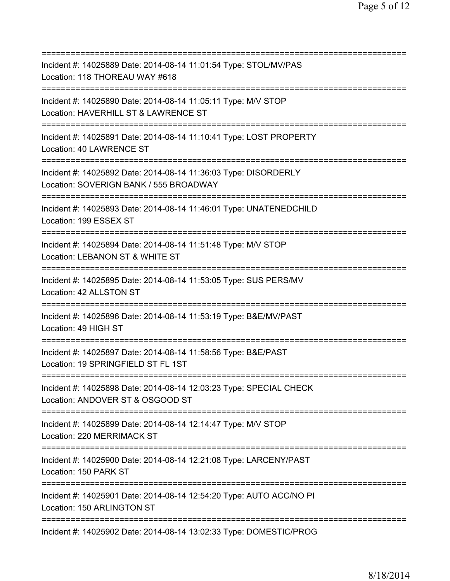=========================================================================== Incident #: 14025889 Date: 2014-08-14 11:01:54 Type: STOL/MV/PAS Location: 118 THOREAU WAY #618 =========================================================================== Incident #: 14025890 Date: 2014-08-14 11:05:11 Type: M/V STOP Location: HAVERHILL ST & LAWRENCE ST =========================================================================== Incident #: 14025891 Date: 2014-08-14 11:10:41 Type: LOST PROPERTY Location: 40 LAWRENCE ST =========================================================================== Incident #: 14025892 Date: 2014-08-14 11:36:03 Type: DISORDERLY Location: SOVERIGN BANK / 555 BROADWAY =========================================================================== Incident #: 14025893 Date: 2014-08-14 11:46:01 Type: UNATENEDCHILD Location: 199 ESSEX ST =========================================================================== Incident #: 14025894 Date: 2014-08-14 11:51:48 Type: M/V STOP Location: LEBANON ST & WHITE ST =========================================================================== Incident #: 14025895 Date: 2014-08-14 11:53:05 Type: SUS PERS/MV Location: 42 ALLSTON ST =========================================================================== Incident #: 14025896 Date: 2014-08-14 11:53:19 Type: B&E/MV/PAST Location: 49 HIGH ST =========================================================================== Incident #: 14025897 Date: 2014-08-14 11:58:56 Type: B&E/PAST Location: 19 SPRINGFIELD ST FL 1ST =========================================================================== Incident #: 14025898 Date: 2014-08-14 12:03:23 Type: SPECIAL CHECK Location: ANDOVER ST & OSGOOD ST =========================================================================== Incident #: 14025899 Date: 2014-08-14 12:14:47 Type: M/V STOP Location: 220 MERRIMACK ST =========================================================================== Incident #: 14025900 Date: 2014-08-14 12:21:08 Type: LARCENY/PAST Location: 150 PARK ST =========================================================================== Incident #: 14025901 Date: 2014-08-14 12:54:20 Type: AUTO ACC/NO PI Location: 150 ARLINGTON ST =========================================================================== Incident #: 14025902 Date: 2014-08-14 13:02:33 Type: DOMESTIC/PROG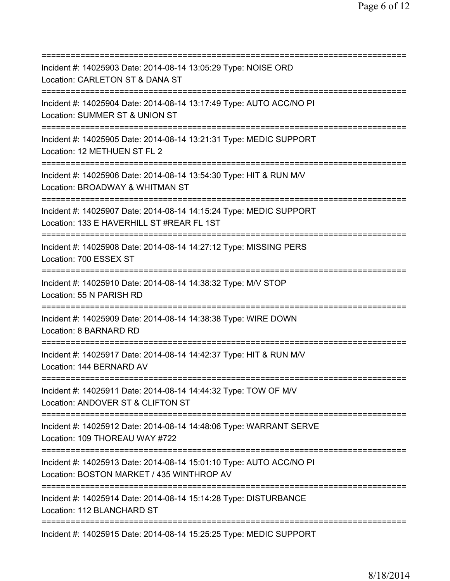=========================================================================== Incident #: 14025903 Date: 2014-08-14 13:05:29 Type: NOISE ORD Location: CARLETON ST & DANA ST =========================================================================== Incident #: 14025904 Date: 2014-08-14 13:17:49 Type: AUTO ACC/NO PI Location: SUMMER ST & UNION ST =========================================================================== Incident #: 14025905 Date: 2014-08-14 13:21:31 Type: MEDIC SUPPORT Location: 12 METHUEN ST FL 2 =========================================================================== Incident #: 14025906 Date: 2014-08-14 13:54:30 Type: HIT & RUN M/V Location: BROADWAY & WHITMAN ST =========================================================================== Incident #: 14025907 Date: 2014-08-14 14:15:24 Type: MEDIC SUPPORT Location: 133 E HAVERHILL ST #REAR FL 1ST =========================================================================== Incident #: 14025908 Date: 2014-08-14 14:27:12 Type: MISSING PERS Location: 700 ESSEX ST =========================================================================== Incident #: 14025910 Date: 2014-08-14 14:38:32 Type: M/V STOP Location: 55 N PARISH RD =========================================================================== Incident #: 14025909 Date: 2014-08-14 14:38:38 Type: WIRE DOWN Location: 8 BARNARD RD =========================================================================== Incident #: 14025917 Date: 2014-08-14 14:42:37 Type: HIT & RUN M/V Location: 144 BERNARD AV =========================================================================== Incident #: 14025911 Date: 2014-08-14 14:44:32 Type: TOW OF M/V Location: ANDOVER ST & CLIFTON ST =========================================================================== Incident #: 14025912 Date: 2014-08-14 14:48:06 Type: WARRANT SERVE Location: 109 THOREAU WAY #722 =========================================================================== Incident #: 14025913 Date: 2014-08-14 15:01:10 Type: AUTO ACC/NO PI Location: BOSTON MARKET / 435 WINTHROP AV =========================================================================== Incident #: 14025914 Date: 2014-08-14 15:14:28 Type: DISTURBANCE Location: 112 BLANCHARD ST =========================================================================== Incident #: 14025915 Date: 2014-08-14 15:25:25 Type: MEDIC SUPPORT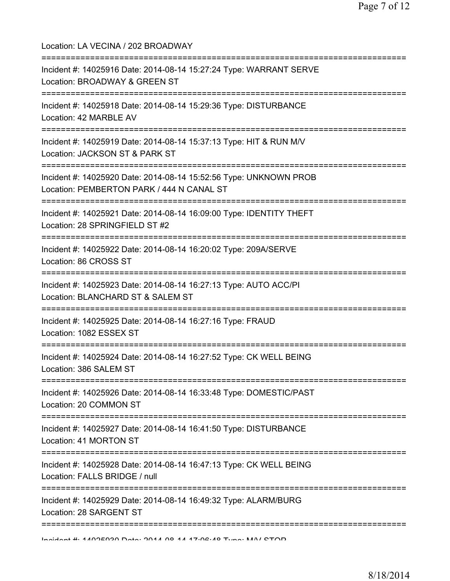| Location: LA VECINA / 202 BROADWAY                                                                                                          |
|---------------------------------------------------------------------------------------------------------------------------------------------|
| Incident #: 14025916 Date: 2014-08-14 15:27:24 Type: WARRANT SERVE<br>Location: BROADWAY & GREEN ST                                         |
| Incident #: 14025918 Date: 2014-08-14 15:29:36 Type: DISTURBANCE<br>Location: 42 MARBLE AV<br>________________________                      |
| :==================================<br>Incident #: 14025919 Date: 2014-08-14 15:37:13 Type: HIT & RUN M/V<br>Location: JACKSON ST & PARK ST |
| Incident #: 14025920 Date: 2014-08-14 15:52:56 Type: UNKNOWN PROB<br>Location: PEMBERTON PARK / 444 N CANAL ST                              |
| Incident #: 14025921 Date: 2014-08-14 16:09:00 Type: IDENTITY THEFT<br>Location: 28 SPRINGFIELD ST #2                                       |
| -------------<br>Incident #: 14025922 Date: 2014-08-14 16:20:02 Type: 209A/SERVE<br>Location: 86 CROSS ST                                   |
| Incident #: 14025923 Date: 2014-08-14 16:27:13 Type: AUTO ACC/PI<br>Location: BLANCHARD ST & SALEM ST                                       |
| Incident #: 14025925 Date: 2014-08-14 16:27:16 Type: FRAUD<br>Location: 1082 ESSEX ST                                                       |
| Incident #: 14025924 Date: 2014-08-14 16:27:52 Type: CK WELL BEING<br>Location: 386 SALEM ST                                                |
| Incident #: 14025926 Date: 2014-08-14 16:33:48 Type: DOMESTIC/PAST<br>Location: 20 COMMON ST                                                |
| Incident #: 14025927 Date: 2014-08-14 16:41:50 Type: DISTURBANCE<br>Location: 41 MORTON ST                                                  |
| Incident #: 14025928 Date: 2014-08-14 16:47:13 Type: CK WELL BEING<br>Location: FALLS BRIDGE / null                                         |
| Incident #: 14025929 Date: 2014-08-14 16:49:32 Type: ALARM/BURG<br>Location: 28 SARGENT ST                                                  |
| Incident # 4 100E000 Data: 0011 00 11 17.02.10 Tune: MAIL CTOD                                                                              |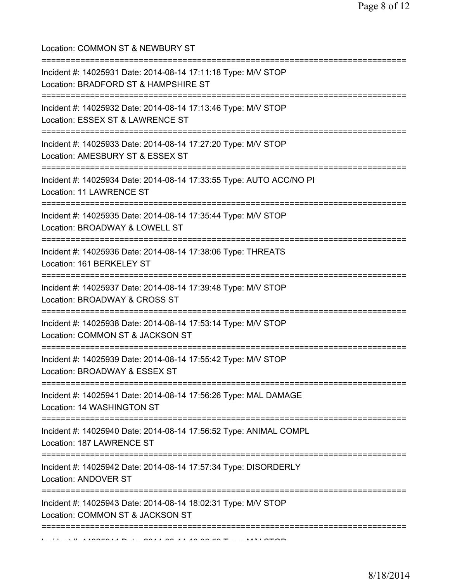| Location: COMMON ST & NEWBURY ST<br>====================================                                                          |
|-----------------------------------------------------------------------------------------------------------------------------------|
| Incident #: 14025931 Date: 2014-08-14 17:11:18 Type: M/V STOP<br>Location: BRADFORD ST & HAMPSHIRE ST                             |
| Incident #: 14025932 Date: 2014-08-14 17:13:46 Type: M/V STOP<br>Location: ESSEX ST & LAWRENCE ST<br>=========================    |
| Incident #: 14025933 Date: 2014-08-14 17:27:20 Type: M/V STOP<br>Location: AMESBURY ST & ESSEX ST                                 |
| Incident #: 14025934 Date: 2014-08-14 17:33:55 Type: AUTO ACC/NO PI<br>Location: 11 LAWRENCE ST                                   |
| Incident #: 14025935 Date: 2014-08-14 17:35:44 Type: M/V STOP<br>Location: BROADWAY & LOWELL ST                                   |
| Incident #: 14025936 Date: 2014-08-14 17:38:06 Type: THREATS<br>Location: 161 BERKELEY ST                                         |
| Incident #: 14025937 Date: 2014-08-14 17:39:48 Type: M/V STOP<br>Location: BROADWAY & CROSS ST                                    |
| Incident #: 14025938 Date: 2014-08-14 17:53:14 Type: M/V STOP<br>Location: COMMON ST & JACKSON ST                                 |
| ===============================<br>Incident #: 14025939 Date: 2014-08-14 17:55:42 Type: M/V STOP<br>Location: BROADWAY & ESSEX ST |
| Incident #: 14025941 Date: 2014-08-14 17:56:26 Type: MAL DAMAGE<br>Location: 14 WASHINGTON ST                                     |
| Incident #: 14025940 Date: 2014-08-14 17:56:52 Type: ANIMAL COMPL<br>Location: 187 LAWRENCE ST                                    |
| Incident #: 14025942 Date: 2014-08-14 17:57:34 Type: DISORDERLY<br>Location: ANDOVER ST                                           |
| Incident #: 14025943 Date: 2014-08-14 18:02:31 Type: M/V STOP<br>Location: COMMON ST & JACKSON ST                                 |
| ===========================                                                                                                       |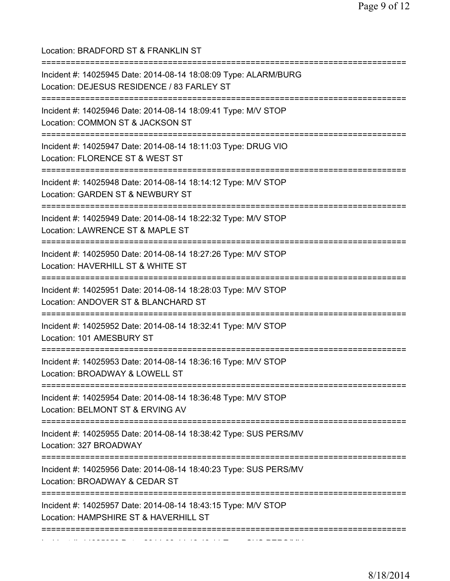| Location: BRADFORD ST & FRANKLIN ST<br>=====================================                                                        |
|-------------------------------------------------------------------------------------------------------------------------------------|
| Incident #: 14025945 Date: 2014-08-14 18:08:09 Type: ALARM/BURG<br>Location: DEJESUS RESIDENCE / 83 FARLEY ST                       |
| Incident #: 14025946 Date: 2014-08-14 18:09:41 Type: M/V STOP<br>Location: COMMON ST & JACKSON ST                                   |
| Incident #: 14025947 Date: 2014-08-14 18:11:03 Type: DRUG VIO<br>Location: FLORENCE ST & WEST ST                                    |
| Incident #: 14025948 Date: 2014-08-14 18:14:12 Type: M/V STOP<br>Location: GARDEN ST & NEWBURY ST                                   |
| Incident #: 14025949 Date: 2014-08-14 18:22:32 Type: M/V STOP<br>Location: LAWRENCE ST & MAPLE ST                                   |
| Incident #: 14025950 Date: 2014-08-14 18:27:26 Type: M/V STOP<br>Location: HAVERHILL ST & WHITE ST                                  |
| Incident #: 14025951 Date: 2014-08-14 18:28:03 Type: M/V STOP<br>Location: ANDOVER ST & BLANCHARD ST<br>=========================== |
| Incident #: 14025952 Date: 2014-08-14 18:32:41 Type: M/V STOP<br>Location: 101 AMESBURY ST                                          |
| Incident #: 14025953 Date: 2014-08-14 18:36:16 Type: M/V STOP<br>Location: BROADWAY & LOWELL ST                                     |
| Incident #: 14025954 Date: 2014-08-14 18:36:48 Type: M/V STOP<br>Location: BELMONT ST & ERVING AV                                   |
| Incident #: 14025955 Date: 2014-08-14 18:38:42 Type: SUS PERS/MV<br>Location: 327 BROADWAY                                          |
| Incident #: 14025956 Date: 2014-08-14 18:40:23 Type: SUS PERS/MV<br>Location: BROADWAY & CEDAR ST                                   |
| Incident #: 14025957 Date: 2014-08-14 18:43:15 Type: M/V STOP<br>Location: HAMPSHIRE ST & HAVERHILL ST                              |
|                                                                                                                                     |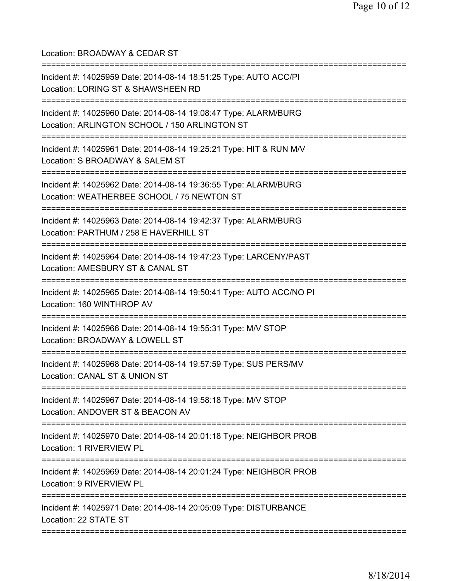Location: BROADWAY & CEDAR ST =========================================================================== Incident #: 14025959 Date: 2014-08-14 18:51:25 Type: AUTO ACC/PI Location: LORING ST & SHAWSHEEN RD =========================================================================== Incident #: 14025960 Date: 2014-08-14 19:08:47 Type: ALARM/BURG Location: ARLINGTON SCHOOL / 150 ARLINGTON ST =========================================================================== Incident #: 14025961 Date: 2014-08-14 19:25:21 Type: HIT & RUN M/V Location: S BROADWAY & SALEM ST =========================================================================== Incident #: 14025962 Date: 2014-08-14 19:36:55 Type: ALARM/BURG Location: WEATHERBEE SCHOOL / 75 NEWTON ST =========================================================================== Incident #: 14025963 Date: 2014-08-14 19:42:37 Type: ALARM/BURG Location: PARTHUM / 258 F HAVERHILL ST =========================================================================== Incident #: 14025964 Date: 2014-08-14 19:47:23 Type: LARCENY/PAST Location: AMESBURY ST & CANAL ST =========================================================================== Incident #: 14025965 Date: 2014-08-14 19:50:41 Type: AUTO ACC/NO PI Location: 160 WINTHROP AV =========================================================================== Incident #: 14025966 Date: 2014-08-14 19:55:31 Type: M/V STOP Location: BROADWAY & LOWELL ST =========================================================================== Incident #: 14025968 Date: 2014-08-14 19:57:59 Type: SUS PERS/MV Location: CANAL ST & UNION ST =========================================================================== Incident #: 14025967 Date: 2014-08-14 19:58:18 Type: M/V STOP Location: ANDOVER ST & BEACON AV =========================================================================== Incident #: 14025970 Date: 2014-08-14 20:01:18 Type: NEIGHBOR PROB Location: 1 RIVERVIEW PL =========================================================================== Incident #: 14025969 Date: 2014-08-14 20:01:24 Type: NEIGHBOR PROB Location: 9 RIVERVIEW PL =========================================================================== Incident #: 14025971 Date: 2014-08-14 20:05:09 Type: DISTURBANCE Location: 22 STATE ST ===========================================================================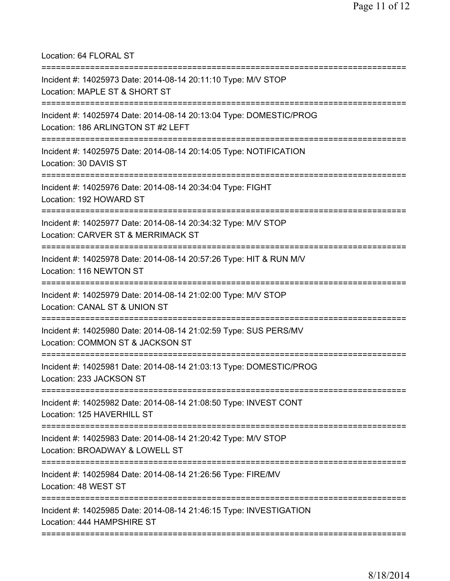Location: 64 FLORAL ST =========================================================================== Incident #: 14025973 Date: 2014-08-14 20:11:10 Type: M/V STOP Location: MAPLE ST & SHORT ST =========================================================================== Incident #: 14025974 Date: 2014-08-14 20:13:04 Type: DOMESTIC/PROG Location: 186 ARLINGTON ST #2 LEFT =========================================================================== Incident #: 14025975 Date: 2014-08-14 20:14:05 Type: NOTIFICATION Location: 30 DAVIS ST =========================================================================== Incident #: 14025976 Date: 2014-08-14 20:34:04 Type: FIGHT Location: 192 HOWARD ST =========================================================================== Incident #: 14025977 Date: 2014-08-14 20:34:32 Type: M/V STOP Location: CARVER ST & MERRIMACK ST =========================================================================== Incident #: 14025978 Date: 2014-08-14 20:57:26 Type: HIT & RUN M/V Location: 116 NEWTON ST =========================================================================== Incident #: 14025979 Date: 2014-08-14 21:02:00 Type: M/V STOP Location: CANAL ST & UNION ST =========================================================================== Incident #: 14025980 Date: 2014-08-14 21:02:59 Type: SUS PERS/MV Location: COMMON ST & JACKSON ST =========================================================================== Incident #: 14025981 Date: 2014-08-14 21:03:13 Type: DOMESTIC/PROG Location: 233 JACKSON ST =========================================================================== Incident #: 14025982 Date: 2014-08-14 21:08:50 Type: INVEST CONT Location: 125 HAVERHILL ST =========================================================================== Incident #: 14025983 Date: 2014-08-14 21:20:42 Type: M/V STOP Location: BROADWAY & LOWELL ST =========================================================================== Incident #: 14025984 Date: 2014-08-14 21:26:56 Type: FIRE/MV Location: 48 WEST ST =========================================================================== Incident #: 14025985 Date: 2014-08-14 21:46:15 Type: INVESTIGATION Location: 444 HAMPSHIRE ST ===========================================================================